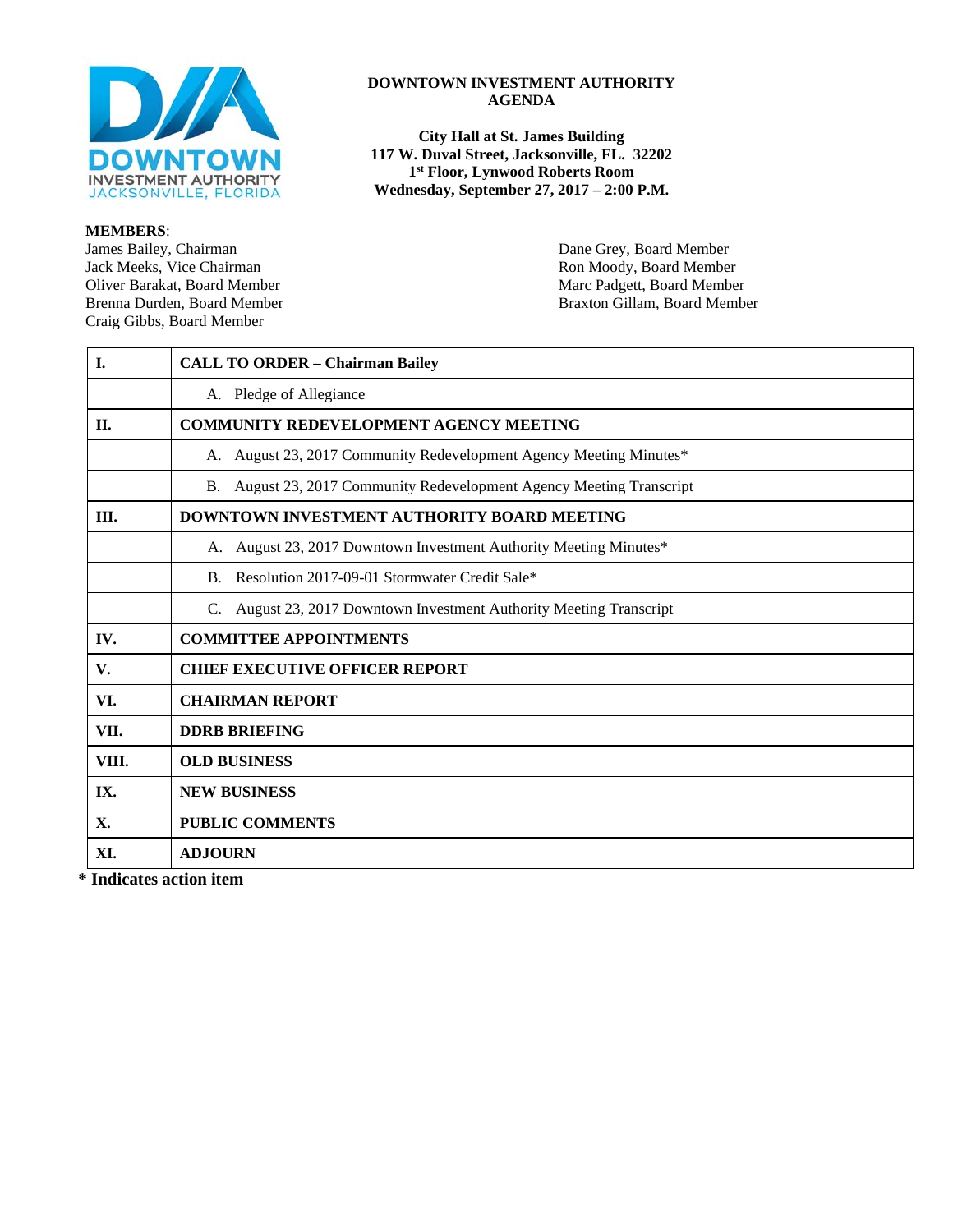

**MEMBERS**: James Bailey, Chairman Dane Grey, Board Member<br>
Jack Meeks, Vice Chairman National Board Member<br>
Ron Moody, Board Member Jack Meeks, Vice Chairman and Theorem and Theorem and Theorem Ron Moody, Board Member<br>
Oliver Barakat, Board Member and Theorem and Theorem and Theorem and Theorem and Theorem and Theorem and Theorem and Theorem and Theore Oliver Barakat, Board Member Marc Padgett, Board Member Marc Padgett, Board Member Brenna Durden, Board Member Craig Gibbs, Board Member

#### **DOWNTOWN INVESTMENT AUTHORITY AGENDA**

**City Hall at St. James Building 117 W. Duval Street, Jacksonville, FL. 32202 1st Floor, Lynwood Roberts Room Wednesday, September 27, 2017 – 2:00 P.M.**

Braxton Gillam, Board Member

| I.    | <b>CALL TO ORDER - Chairman Bailey</b>                               |  |
|-------|----------------------------------------------------------------------|--|
|       | A. Pledge of Allegiance                                              |  |
| П.    | <b>COMMUNITY REDEVELOPMENT AGENCY MEETING</b>                        |  |
|       | A. August 23, 2017 Community Redevelopment Agency Meeting Minutes*   |  |
|       | B. August 23, 2017 Community Redevelopment Agency Meeting Transcript |  |
| III.  | <b>DOWNTOWN INVESTMENT AUTHORITY BOARD MEETING</b>                   |  |
|       | A. August 23, 2017 Downtown Investment Authority Meeting Minutes*    |  |
|       | B. Resolution 2017-09-01 Stormwater Credit Sale*                     |  |
|       | C. August 23, 2017 Downtown Investment Authority Meeting Transcript  |  |
| IV.   | <b>COMMITTEE APPOINTMENTS</b>                                        |  |
| V.    | <b>CHIEF EXECUTIVE OFFICER REPORT</b>                                |  |
| VI.   | <b>CHAIRMAN REPORT</b>                                               |  |
| VII.  | <b>DDRB BRIEFING</b>                                                 |  |
| VIII. | <b>OLD BUSINESS</b>                                                  |  |
| IX.   | <b>NEW BUSINESS</b>                                                  |  |
| X.    | <b>PUBLIC COMMENTS</b>                                               |  |
| XI.   | <b>ADJOURN</b>                                                       |  |

**\* Indicates action item**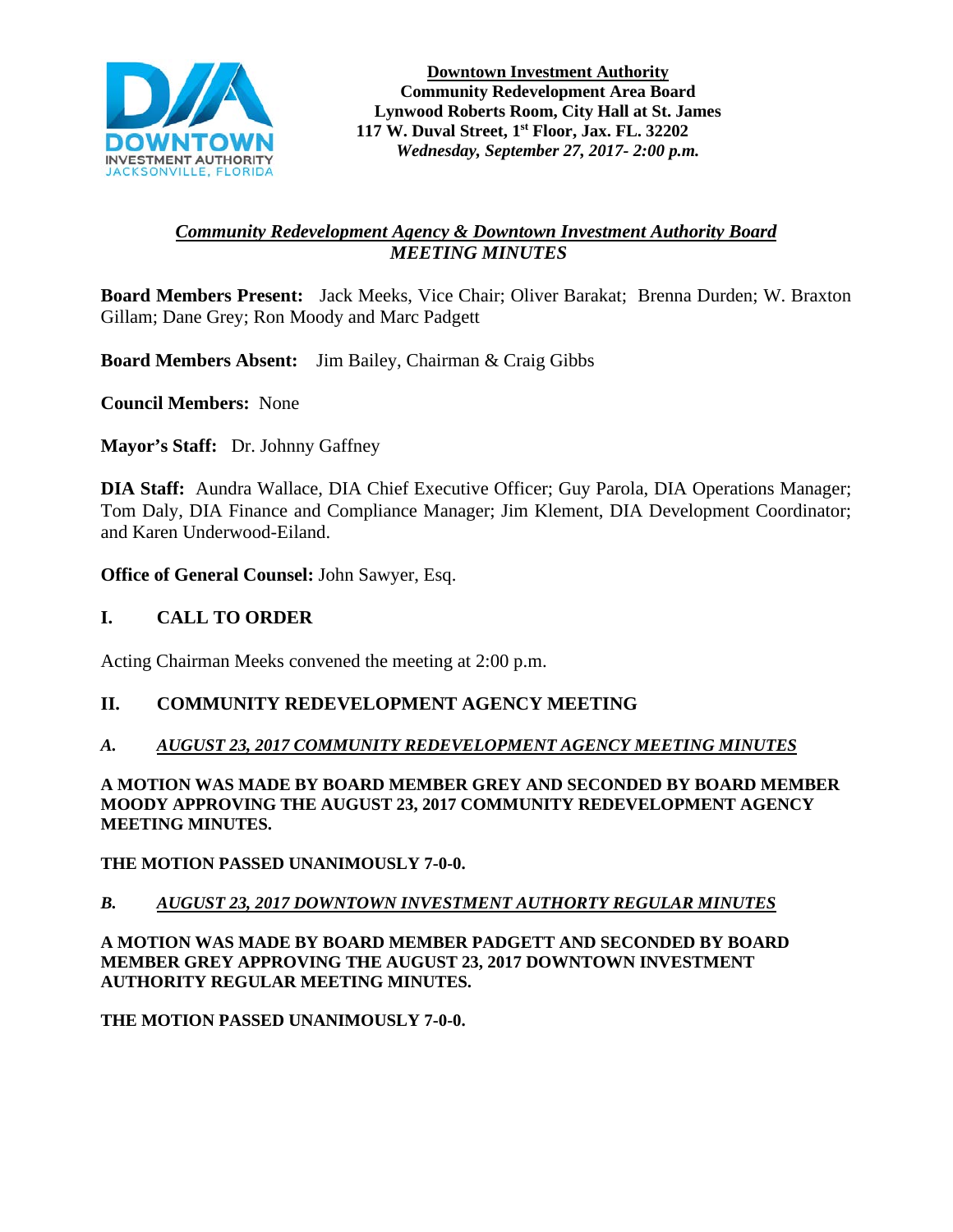

**Downtown Investment Authority Community Redevelopment Area Board Lynwood Roberts Room, City Hall at St. James 117 W. Duval Street, 1st Floor, Jax. FL. 32202** *Wednesday, September 27, 2017- 2:00 p.m.*

## *Community Redevelopment Agency & Downtown Investment Authority Board MEETING MINUTES*

**Board Members Present:** Jack Meeks, Vice Chair; Oliver Barakat; Brenna Durden; W. Braxton Gillam; Dane Grey; Ron Moody and Marc Padgett

**Board Members Absent:** Jim Bailey, Chairman & Craig Gibbs

**Council Members:** None

**Mayor's Staff:** Dr. Johnny Gaffney

**DIA Staff:** Aundra Wallace, DIA Chief Executive Officer; Guy Parola, DIA Operations Manager; Tom Daly, DIA Finance and Compliance Manager; Jim Klement, DIA Development Coordinator; and Karen Underwood-Eiland.

**Office of General Counsel:** John Sawyer, Esq.

#### **I. CALL TO ORDER**

Acting Chairman Meeks convened the meeting at 2:00 p.m.

#### **II. COMMUNITY REDEVELOPMENT AGENCY MEETING**

#### *A. AUGUST 23, 2017 COMMUNITY REDEVELOPMENT AGENCY MEETING MINUTES*

**A MOTION WAS MADE BY BOARD MEMBER GREY AND SECONDED BY BOARD MEMBER MOODY APPROVING THE AUGUST 23, 2017 COMMUNITY REDEVELOPMENT AGENCY MEETING MINUTES.**

**THE MOTION PASSED UNANIMOUSLY 7-0-0.** 

#### *B. AUGUST 23, 2017 DOWNTOWN INVESTMENT AUTHORTY REGULAR MINUTES*

**A MOTION WAS MADE BY BOARD MEMBER PADGETT AND SECONDED BY BOARD MEMBER GREY APPROVING THE AUGUST 23, 2017 DOWNTOWN INVESTMENT AUTHORITY REGULAR MEETING MINUTES.** 

**THE MOTION PASSED UNANIMOUSLY 7-0-0.**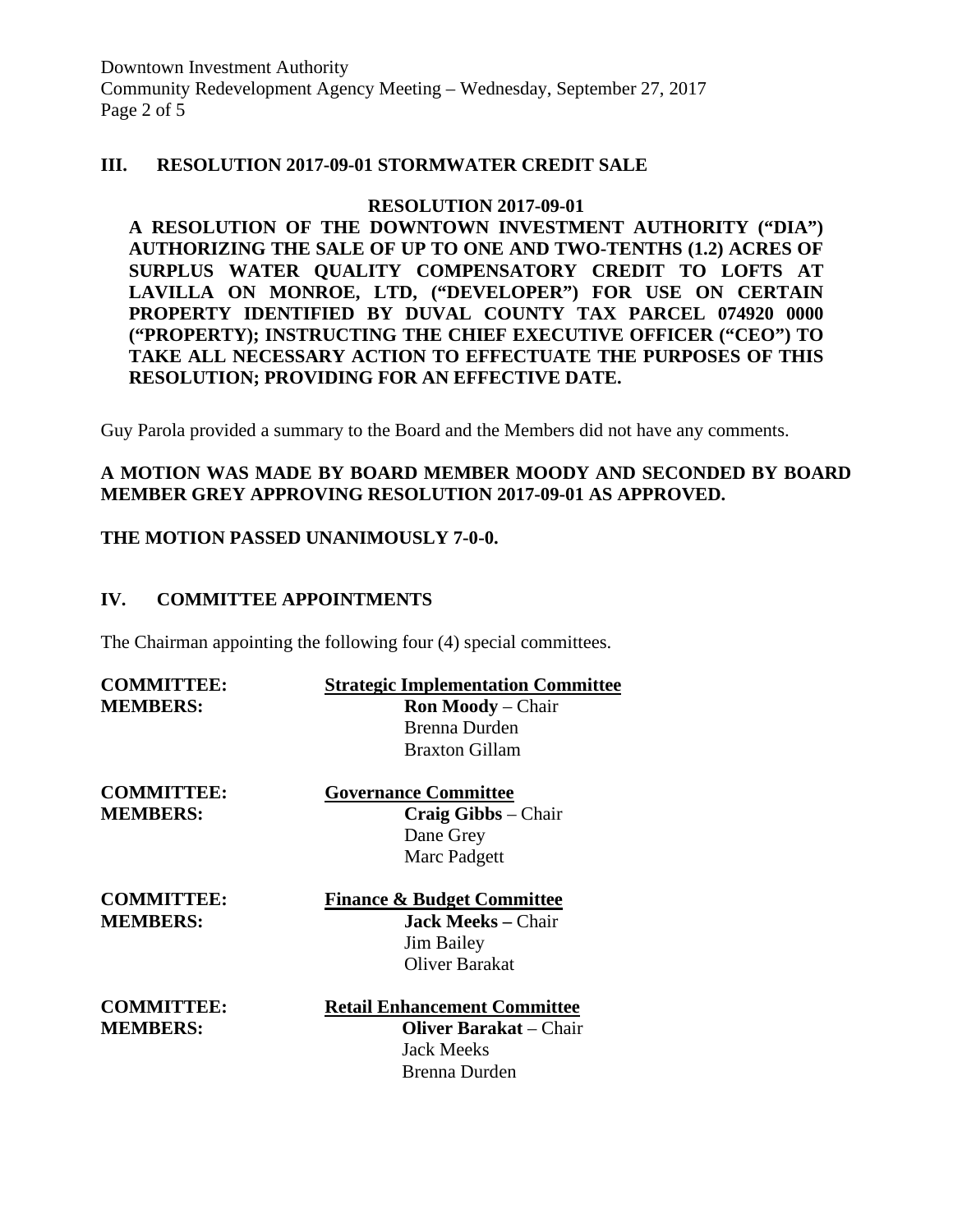Downtown Investment Authority Community Redevelopment Agency Meeting – Wednesday, September 27, 2017 Page 2 of 5

#### **III. RESOLUTION 2017-09-01 STORMWATER CREDIT SALE**

#### **RESOLUTION 2017-09-01**

**A RESOLUTION OF THE DOWNTOWN INVESTMENT AUTHORITY ("DIA") AUTHORIZING THE SALE OF UP TO ONE AND TWO-TENTHS (1.2) ACRES OF SURPLUS WATER QUALITY COMPENSATORY CREDIT TO LOFTS AT LAVILLA ON MONROE, LTD, ("DEVELOPER") FOR USE ON CERTAIN PROPERTY IDENTIFIED BY DUVAL COUNTY TAX PARCEL 074920 0000 ("PROPERTY); INSTRUCTING THE CHIEF EXECUTIVE OFFICER ("CEO") TO TAKE ALL NECESSARY ACTION TO EFFECTUATE THE PURPOSES OF THIS RESOLUTION; PROVIDING FOR AN EFFECTIVE DATE.**

Guy Parola provided a summary to the Board and the Members did not have any comments.

#### **A MOTION WAS MADE BY BOARD MEMBER MOODY AND SECONDED BY BOARD MEMBER GREY APPROVING RESOLUTION 2017-09-01 AS APPROVED.**

#### **THE MOTION PASSED UNANIMOUSLY 7-0-0.**

#### **IV. COMMITTEE APPOINTMENTS**

The Chairman appointing the following four (4) special committees.

| <b>COMMITTEE:</b> | <b>Strategic Implementation Committee</b> |
|-------------------|-------------------------------------------|
| <b>MEMBERS:</b>   | <b>Ron Moody</b> – Chair                  |
|                   | <b>Brenna Durden</b>                      |
|                   | <b>Braxton Gillam</b>                     |
| <b>COMMITTEE:</b> | <b>Governance Committee</b>               |
| <b>MEMBERS:</b>   | Craig Gibbs - Chair                       |
|                   | Dane Grey                                 |
|                   | Marc Padgett                              |
| <b>COMMITTEE:</b> | <b>Finance &amp; Budget Committee</b>     |
| <b>MEMBERS:</b>   | <b>Jack Meeks – Chair</b>                 |
|                   | <b>Jim Bailey</b>                         |
|                   | Oliver Barakat                            |
| <b>COMMITTEE:</b> | <b>Retail Enhancement Committee</b>       |
| <b>MEMBERS:</b>   | <b>Oliver Barakat</b> – Chair             |
|                   | <b>Jack Meeks</b>                         |
|                   | Brenna Durden                             |
|                   |                                           |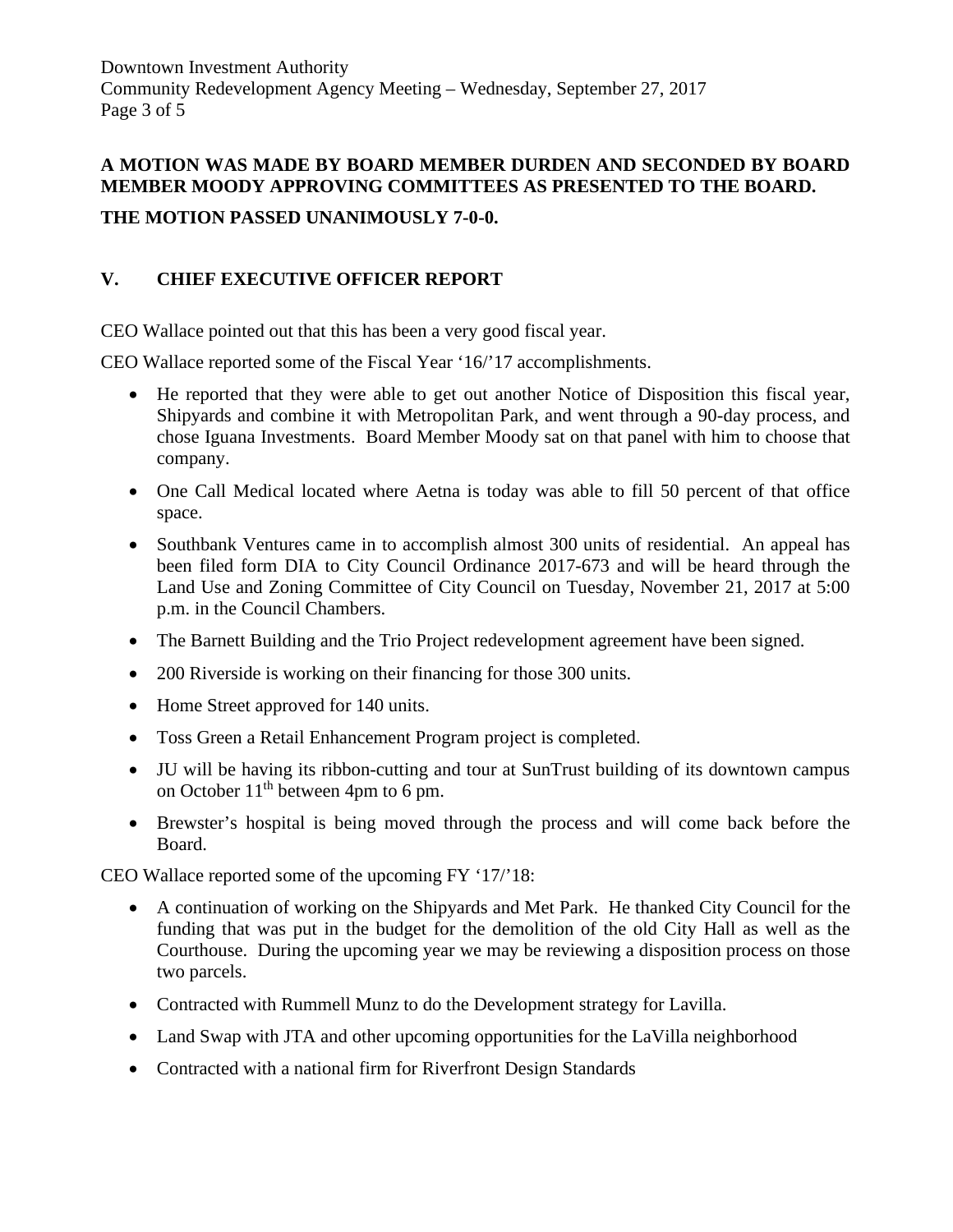Downtown Investment Authority Community Redevelopment Agency Meeting – Wednesday, September 27, 2017 Page 3 of 5

## **A MOTION WAS MADE BY BOARD MEMBER DURDEN AND SECONDED BY BOARD MEMBER MOODY APPROVING COMMITTEES AS PRESENTED TO THE BOARD.**

# **THE MOTION PASSED UNANIMOUSLY 7-0-0.**

# **V. CHIEF EXECUTIVE OFFICER REPORT**

CEO Wallace pointed out that this has been a very good fiscal year.

CEO Wallace reported some of the Fiscal Year '16/'17 accomplishments.

- He reported that they were able to get out another Notice of Disposition this fiscal year, Shipyards and combine it with Metropolitan Park, and went through a 90-day process, and chose Iguana Investments. Board Member Moody sat on that panel with him to choose that company.
- One Call Medical located where Aetna is today was able to fill 50 percent of that office space.
- Southbank Ventures came in to accomplish almost 300 units of residential. An appeal has been filed form DIA to City Council Ordinance 2017-673 and will be heard through the Land Use and Zoning Committee of City Council on Tuesday, November 21, 2017 at 5:00 p.m. in the Council Chambers.
- The Barnett Building and the Trio Project redevelopment agreement have been signed.
- 200 Riverside is working on their financing for those 300 units.
- Home Street approved for 140 units.
- Toss Green a Retail Enhancement Program project is completed.
- JU will be having its ribbon-cutting and tour at SunTrust building of its downtown campus on October  $11<sup>th</sup>$  between 4pm to 6 pm.
- Brewster's hospital is being moved through the process and will come back before the Board.

CEO Wallace reported some of the upcoming FY '17/'18:

- A continuation of working on the Shipyards and Met Park. He thanked City Council for the funding that was put in the budget for the demolition of the old City Hall as well as the Courthouse. During the upcoming year we may be reviewing a disposition process on those two parcels.
- Contracted with Rummell Munz to do the Development strategy for Lavilla.
- Land Swap with JTA and other upcoming opportunities for the LaVilla neighborhood
- Contracted with a national firm for Riverfront Design Standards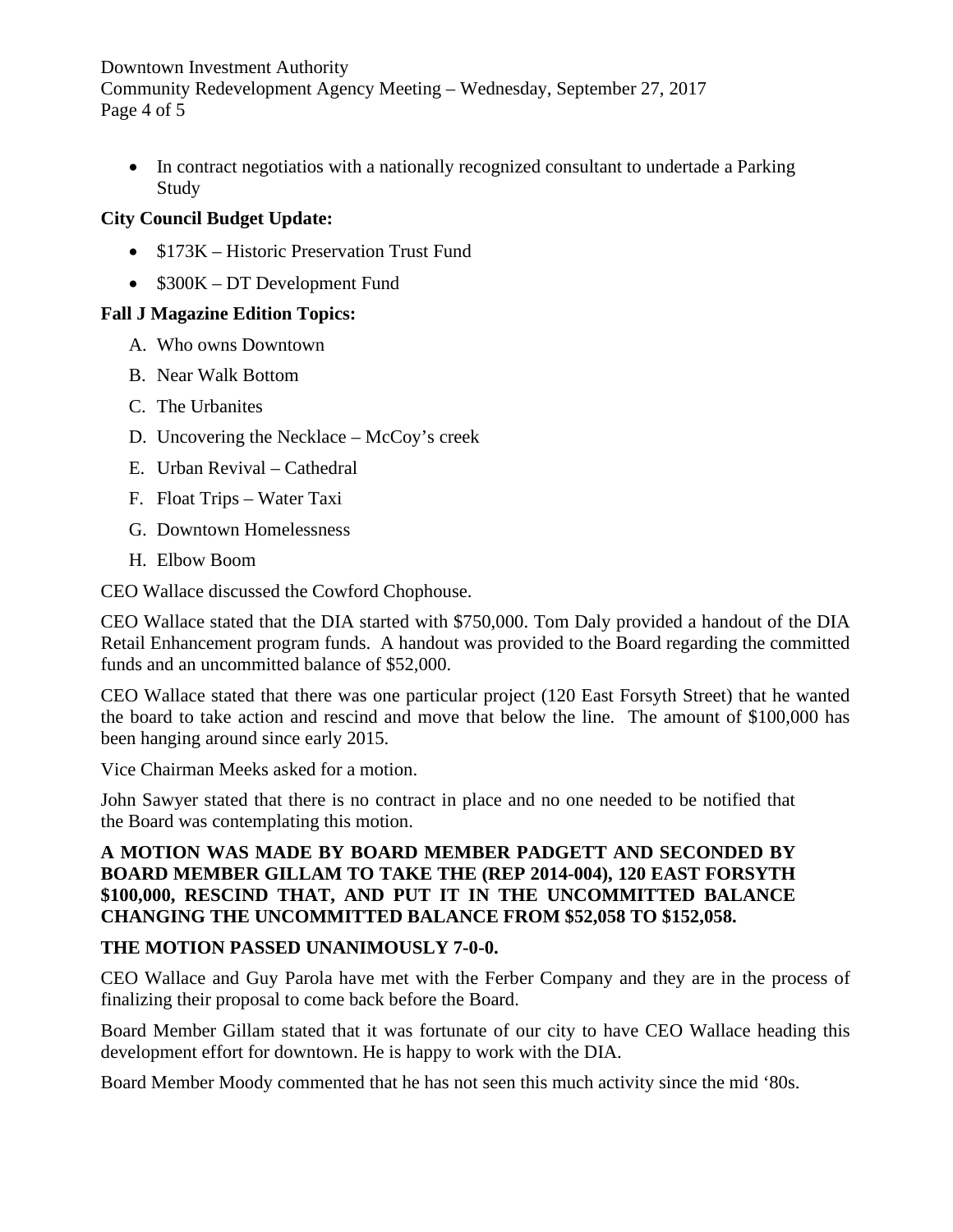## Downtown Investment Authority Community Redevelopment Agency Meeting – Wednesday, September 27, 2017 Page 4 of 5

• In contract negotiatios with a nationally recognized consultant to undertade a Parking Study

# **City Council Budget Update:**

- \$173K Historic Preservation Trust Fund
- \$300K DT Development Fund

# **Fall J Magazine Edition Topics:**

- A. Who owns Downtown
- B. Near Walk Bottom
- C. The Urbanites
- D. Uncovering the Necklace McCoy's creek
- E. Urban Revival Cathedral
- F. Float Trips Water Taxi
- G. Downtown Homelessness
- H. Elbow Boom

CEO Wallace discussed the Cowford Chophouse.

CEO Wallace stated that the DIA started with \$750,000. Tom Daly provided a handout of the DIA Retail Enhancement program funds. A handout was provided to the Board regarding the committed funds and an uncommitted balance of \$52,000.

CEO Wallace stated that there was one particular project (120 East Forsyth Street) that he wanted the board to take action and rescind and move that below the line. The amount of \$100,000 has been hanging around since early 2015.

Vice Chairman Meeks asked for a motion.

John Sawyer stated that there is no contract in place and no one needed to be notified that the Board was contemplating this motion.

## **A MOTION WAS MADE BY BOARD MEMBER PADGETT AND SECONDED BY BOARD MEMBER GILLAM TO TAKE THE (REP 2014-004), 120 EAST FORSYTH \$100,000, RESCIND THAT, AND PUT IT IN THE UNCOMMITTED BALANCE CHANGING THE UNCOMMITTED BALANCE FROM \$52,058 TO \$152,058.**

## **THE MOTION PASSED UNANIMOUSLY 7-0-0.**

CEO Wallace and Guy Parola have met with the Ferber Company and they are in the process of finalizing their proposal to come back before the Board.

Board Member Gillam stated that it was fortunate of our city to have CEO Wallace heading this development effort for downtown. He is happy to work with the DIA.

Board Member Moody commented that he has not seen this much activity since the mid '80s.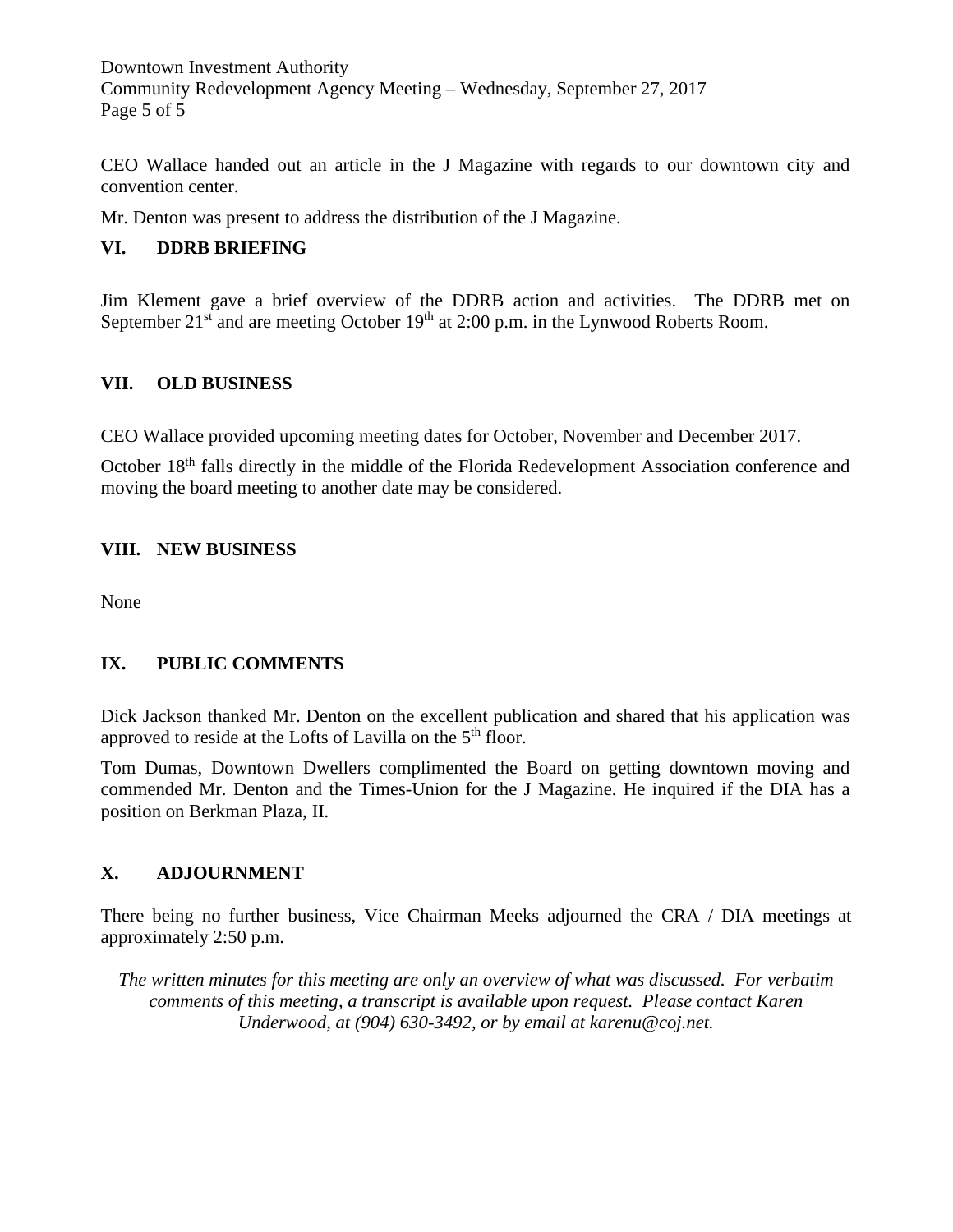Downtown Investment Authority Community Redevelopment Agency Meeting – Wednesday, September 27, 2017 Page 5 of 5

CEO Wallace handed out an article in the J Magazine with regards to our downtown city and convention center.

Mr. Denton was present to address the distribution of the J Magazine.

## **VI. DDRB BRIEFING**

Jim Klement gave a brief overview of the DDRB action and activities. The DDRB met on September 21<sup>st</sup> and are meeting October 19<sup>th</sup> at 2:00 p.m. in the Lynwood Roberts Room.

## **VII. OLD BUSINESS**

CEO Wallace provided upcoming meeting dates for October, November and December 2017.

October 18<sup>th</sup> falls directly in the middle of the Florida Redevelopment Association conference and moving the board meeting to another date may be considered.

# **VIII. NEW BUSINESS**

None

## **IX. PUBLIC COMMENTS**

Dick Jackson thanked Mr. Denton on the excellent publication and shared that his application was approved to reside at the Lofts of Lavilla on the  $5<sup>th</sup>$  floor.

Tom Dumas, Downtown Dwellers complimented the Board on getting downtown moving and commended Mr. Denton and the Times-Union for the J Magazine. He inquired if the DIA has a position on Berkman Plaza, II.

# **X. ADJOURNMENT**

There being no further business, Vice Chairman Meeks adjourned the CRA / DIA meetings at approximately 2:50 p.m.

*The written minutes for this meeting are only an overview of what was discussed. For verbatim comments of this meeting, a transcript is available upon request. Please contact Karen Underwood, at (904) 630-3492, or by email at karenu@coj.net.*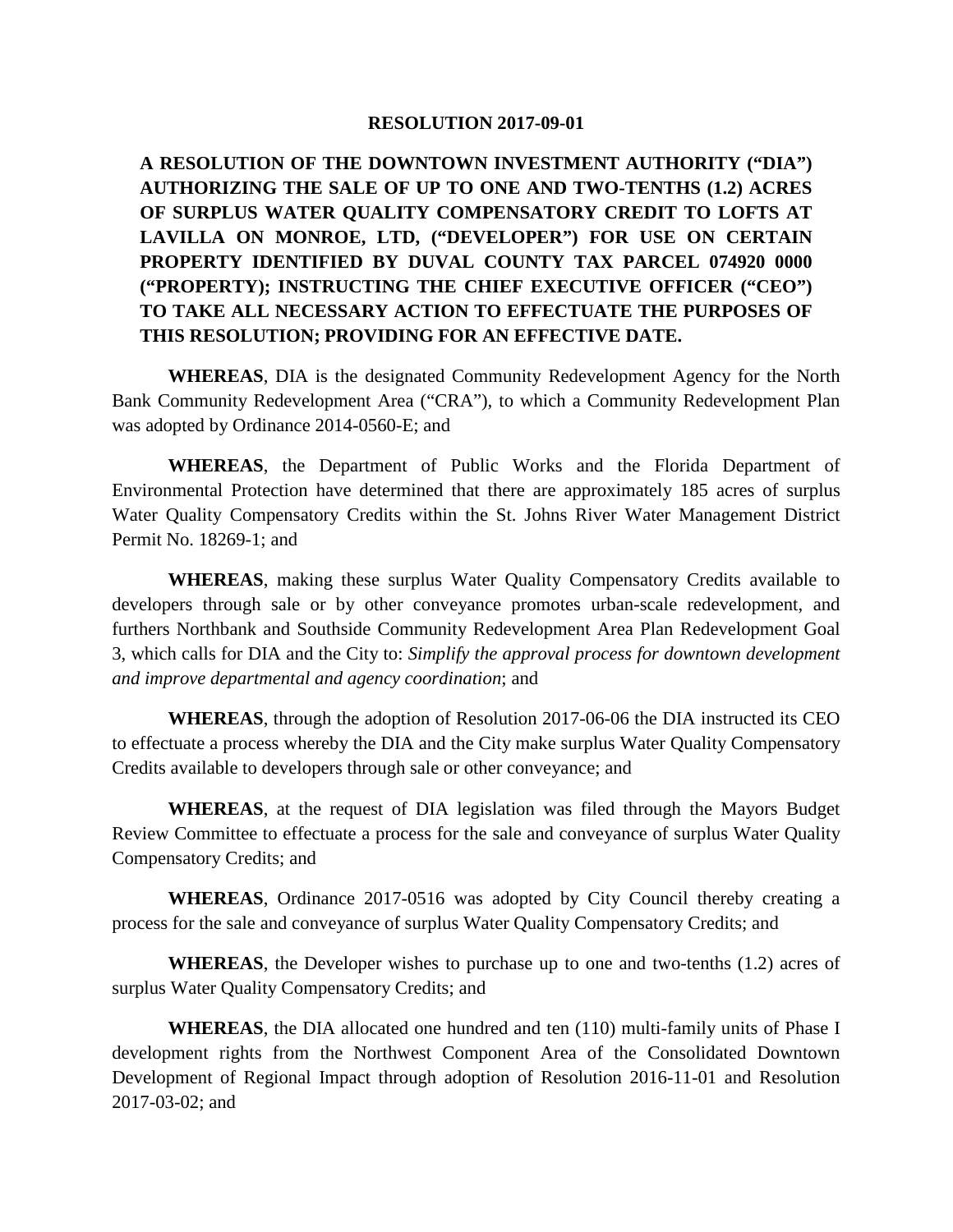#### **RESOLUTION 2017-09-01**

**A RESOLUTION OF THE DOWNTOWN INVESTMENT AUTHORITY ("DIA") AUTHORIZING THE SALE OF UP TO ONE AND TWO-TENTHS (1.2) ACRES OF SURPLUS WATER QUALITY COMPENSATORY CREDIT TO LOFTS AT LAVILLA ON MONROE, LTD, ("DEVELOPER") FOR USE ON CERTAIN PROPERTY IDENTIFIED BY DUVAL COUNTY TAX PARCEL 074920 0000 ("PROPERTY); INSTRUCTING THE CHIEF EXECUTIVE OFFICER ("CEO") TO TAKE ALL NECESSARY ACTION TO EFFECTUATE THE PURPOSES OF THIS RESOLUTION; PROVIDING FOR AN EFFECTIVE DATE.**

**WHEREAS**, DIA is the designated Community Redevelopment Agency for the North Bank Community Redevelopment Area ("CRA"), to which a Community Redevelopment Plan was adopted by Ordinance 2014-0560-E; and

**WHEREAS**, the Department of Public Works and the Florida Department of Environmental Protection have determined that there are approximately 185 acres of surplus Water Quality Compensatory Credits within the St. Johns River Water Management District Permit No. 18269-1; and

**WHEREAS**, making these surplus Water Quality Compensatory Credits available to developers through sale or by other conveyance promotes urban-scale redevelopment, and furthers Northbank and Southside Community Redevelopment Area Plan Redevelopment Goal 3, which calls for DIA and the City to: *Simplify the approval process for downtown development and improve departmental and agency coordination*; and

**WHEREAS**, through the adoption of Resolution 2017-06-06 the DIA instructed its CEO to effectuate a process whereby the DIA and the City make surplus Water Quality Compensatory Credits available to developers through sale or other conveyance; and

**WHEREAS**, at the request of DIA legislation was filed through the Mayors Budget Review Committee to effectuate a process for the sale and conveyance of surplus Water Quality Compensatory Credits; and

**WHEREAS**, Ordinance 2017-0516 was adopted by City Council thereby creating a process for the sale and conveyance of surplus Water Quality Compensatory Credits; and

**WHEREAS**, the Developer wishes to purchase up to one and two-tenths (1.2) acres of surplus Water Quality Compensatory Credits; and

**WHEREAS**, the DIA allocated one hundred and ten (110) multi-family units of Phase I development rights from the Northwest Component Area of the Consolidated Downtown Development of Regional Impact through adoption of Resolution 2016-11-01 and Resolution 2017-03-02; and